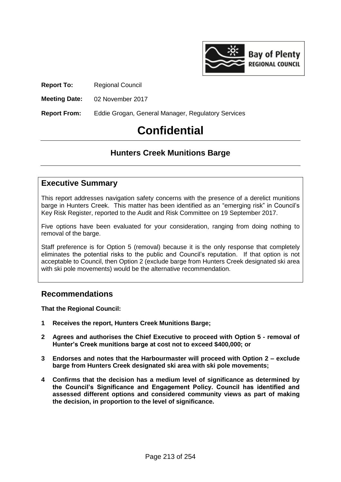

**Report To:** Regional Council

**Meeting Date:** 02 November 2017

**Report From:** Eddie Grogan, General Manager, Regulatory Services

## **Confidential**

## **Hunters Creek Munitions Barge**

### **Executive Summary**

This report addresses navigation safety concerns with the presence of a derelict munitions barge in Hunters Creek. This matter has been identified as an "emerging risk" in Council's Key Risk Register, reported to the Audit and Risk Committee on 19 September 2017.

Five options have been evaluated for your consideration, ranging from doing nothing to removal of the barge.

Staff preference is for Option 5 (removal) because it is the only response that completely eliminates the potential risks to the public and Council's reputation. If that option is not acceptable to Council, then Option 2 (exclude barge from Hunters Creek designated ski area with ski pole movements) would be the alternative recommendation.

### **Recommendations**

**That the Regional Council:** 

- **1 Receives the report, Hunters Creek Munitions Barge;**
- **2 Agrees and authorises the Chief Executive to proceed with Option 5 removal of Hunter's Creek munitions barge at cost not to exceed \$400,000; or**
- **3 Endorses and notes that the Harbourmaster will proceed with Option 2 exclude barge from Hunters Creek designated ski area with ski pole movements;**
- **4 Confirms that the decision has a medium level of significance as determined by the Council's Significance and Engagement Policy. Council has identified and assessed different options and considered community views as part of making the decision, in proportion to the level of significance.**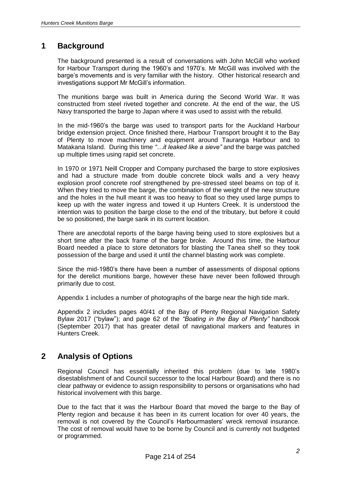## **1 Background**

The background presented is a result of conversations with John McGill who worked for Harbour Transport during the 1960's and 1970's. Mr McGill was involved with the barge's movements and is very familiar with the history. Other historical research and investigations support Mr McGill's information.

The munitions barge was built in America during the Second World War. It was constructed from steel riveted together and concrete. At the end of the war, the US Navy transported the barge to Japan where it was used to assist with the rebuild.

In the mid-1960's the barge was used to transport parts for the Auckland Harbour bridge extension project. Once finished there, Harbour Transport brought it to the Bay of Plenty to move machinery and equipment around Tauranga Harbour and to Matakana Island. During this time *"…it leaked like a sieve"* and the barge was patched up multiple times using rapid set concrete.

In 1970 or 1971 Neill Cropper and Company purchased the barge to store explosives and had a structure made from double concrete block walls and a very heavy explosion proof concrete roof strengthened by pre-stressed steel beams on top of it. When they tried to move the barge, the combination of the weight of the new structure and the holes in the hull meant it was too heavy to float so they used large pumps to keep up with the water ingress and towed it up Hunters Creek. It is understood the intention was to position the barge close to the end of the tributary, but before it could be so positioned, the barge sank in its current location.

There are anecdotal reports of the barge having being used to store explosives but a short time after the back frame of the barge broke. Around this time, the Harbour Board needed a place to store detonators for blasting the Tanea shelf so they took possession of the barge and used it until the channel blasting work was complete.

Since the mid-1980's there have been a number of assessments of disposal options for the derelict munitions barge, however these have never been followed through primarily due to cost.

Appendix 1 includes a number of photographs of the barge near the high tide mark.

Appendix 2 includes pages 40/41 of the Bay of Plenty Regional Navigation Safety Bylaw 2017 ("bylaw"); and page 62 of the *"Boating in the Bay of Plenty"* handbook (September 2017) that has greater detail of navigational markers and features in Hunters Creek.

## **2 Analysis of Options**

Regional Council has essentially inherited this problem (due to late 1980's disestablishment of and Council successor to the local Harbour Board) and there is no clear pathway or evidence to assign responsibility to persons or organisations who had historical involvement with this barge.

Due to the fact that it was the Harbour Board that moved the barge to the Bay of Plenty region and because it has been in its current location for over 40 years, the removal is not covered by the Council's Harbourmasters' wreck removal insurance. The cost of removal would have to be borne by Council and is currently not budgeted or programmed.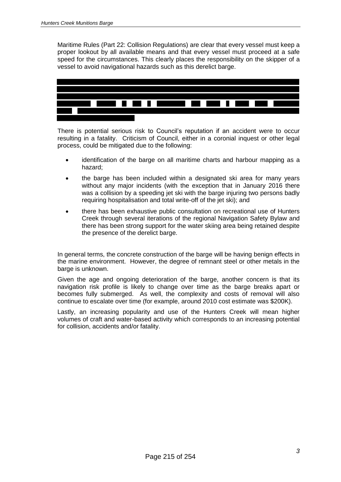Maritime Rules (Part 22: Collision Regulations) are clear that every vessel must keep a proper lookout by all available means and that every vessel must proceed at a safe speed for the circumstances. This clearly places the responsibility on the skipper of a vessel to avoid navigational hazards such as this derelict barge.



There is potential serious risk to Council's reputation if an accident were to occur resulting in a fatality. Criticism of Council, either in a coronial inquest or other legal process, could be mitigated due to the following:

- identification of the barge on all maritime charts and harbour mapping as a hazard;
- the barge has been included within a designated ski area for many years without any major incidents (with the exception that in January 2016 there was a collision by a speeding jet ski with the barge injuring two persons badly requiring hospitalisation and total write-off of the jet ski); and
- there has been exhaustive public consultation on recreational use of Hunters Creek through several iterations of the regional Navigation Safety Bylaw and there has been strong support for the water skiing area being retained despite the presence of the derelict barge.

In general terms, the concrete construction of the barge will be having benign effects in the marine environment. However, the degree of remnant steel or other metals in the barge is unknown.

Given the age and ongoing deterioration of the barge, another concern is that its navigation risk profile is likely to change over time as the barge breaks apart or becomes fully submerged. As well, the complexity and costs of removal will also continue to escalate over time (for example, around 2010 cost estimate was \$200K).

Lastly, an increasing popularity and use of the Hunters Creek will mean higher volumes of craft and water-based activity which corresponds to an increasing potential for collision, accidents and/or fatality.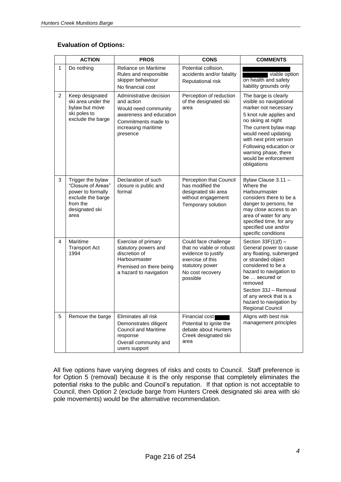#### **Evaluation of Options:**

|                | <b>ACTION</b>                                                                                                           | <b>PROS</b>                                                                                                                                        | <b>CONS</b>                                                                                                                                    | <b>COMMENTS</b>                                                                                                                                                                                                                                                                              |
|----------------|-------------------------------------------------------------------------------------------------------------------------|----------------------------------------------------------------------------------------------------------------------------------------------------|------------------------------------------------------------------------------------------------------------------------------------------------|----------------------------------------------------------------------------------------------------------------------------------------------------------------------------------------------------------------------------------------------------------------------------------------------|
| 1              | Do nothing                                                                                                              | Reliance on Maritime<br>Rules and responsible<br>skipper behaviour<br>No financial cost                                                            | Potential collision,<br>accidents and/or fatality<br>Reputational risk                                                                         | viable option<br>on health and safety<br>liability grounds only                                                                                                                                                                                                                              |
| $\overline{2}$ | Keep designated<br>ski area under the<br>bylaw but move<br>ski poles to<br>exclude the barge                            | Administrative decision<br>and action<br>Would need community<br>awareness and education<br>Commitments made to<br>increasing maritime<br>presence | Perception of reduction<br>of the designated ski<br>area                                                                                       | The barge is clearly<br>visible so navigational<br>marker not necessary<br>5 knot rule applies and<br>no skiing at night<br>The current bylaw map<br>would need updating<br>with next print version<br>Following education or<br>warning phase, there<br>would be enforcement<br>obligations |
| 3              | Trigger the bylaw<br>"Closure of Areas"<br>power to formally<br>exclude the barge<br>from the<br>designated ski<br>area | Declaration of such<br>closure is public and<br>formal                                                                                             | Perception that Council<br>has modified the<br>designated ski area<br>without engagement<br>Temporary solution                                 | Bylaw Clause 3.11 -<br>Where the<br>Harbourmaster<br>considers there to be a<br>danger to persons, he<br>may close access to an<br>area of water for any<br>specified time, for any<br>specified use and/or<br>specific conditions                                                           |
| $\overline{4}$ | Maritime<br><b>Transport Act</b><br>1994                                                                                | Exercise of primary<br>statutory powers and<br>discretion of<br>Harbourmaster<br>Premised on there being<br>a hazard to navigation                 | Could face challenge<br>that no viable or robust<br>evidence to justify<br>exercise of this<br>statutory power<br>No cost recovery<br>possible | Section $33F(1)(f)$ –<br>General power to cause<br>any floating, submerged<br>or stranded object<br>considered to be a<br>hazard to navigation to<br>be  secured or<br>removed<br>Section 33J - Removal<br>of any wreck that is a<br>hazard to navigation by<br><b>Regional Council</b>      |
| 5              | Remove the barge                                                                                                        | Eliminates all risk<br>Demonstrates diligent<br><b>Council and Maritime</b><br>response<br>Overall community and<br>users support                  | Financial cost<br>Potential to ignite the<br>debate about Hunters<br>Creek designated ski<br>area                                              | Aligns with best risk<br>management principles                                                                                                                                                                                                                                               |

All five options have varying degrees of risks and costs to Council. Staff preference is for Option 5 (removal) because it is the only response that completely eliminates the potential risks to the public and Council's reputation. If that option is not acceptable to Council, then Option 2 (exclude barge from Hunters Creek designated ski area with ski pole movements) would be the alternative recommendation.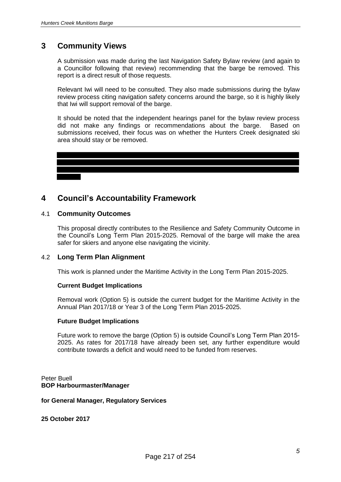## **3 Community Views**

A submission was made during the last Navigation Safety Bylaw review (and again to a Councillor following that review) recommending that the barge be removed. This report is a direct result of those requests.

Relevant Iwi will need to be consulted. They also made submissions during the bylaw review process citing navigation safety concerns around the barge, so it is highly likely that Iwi will support removal of the barge.

It should be noted that the independent hearings panel for the bylaw review process did not make any findings or recommendations about the barge. Based on submissions received, their focus was on whether the Hunters Creek designated ski area should stay or be removed.



### **4 Council's Accountability Framework**

#### 4.1 **Community Outcomes**

This proposal directly contributes to the Resilience and Safety Community Outcome in the Council's Long Term Plan 2015-2025. Removal of the barge will make the area safer for skiers and anyone else navigating the vicinity.

#### 4.2 **Long Term Plan Alignment**

This work is planned under the Maritime Activity in the Long Term Plan 2015-2025.

#### **Current Budget Implications**

Removal work (Option 5) is outside the current budget for the Maritime Activity in the Annual Plan 2017/18 or Year 3 of the Long Term Plan 2015-2025.

#### **Future Budget Implications**

Future work to remove the barge (Option 5) is outside Council's Long Term Plan 2015- 2025. As rates for 2017/18 have already been set, any further expenditure would contribute towards a deficit and would need to be funded from reserves.

Peter Buell **BOP Harbourmaster/Manager** 

#### **for General Manager, Regulatory Services**

**25 October 2017**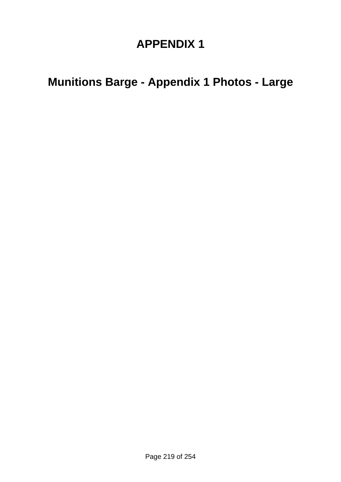# **APPENDIX 1**

# **Munitions Barge - Appendix 1 Photos - Large**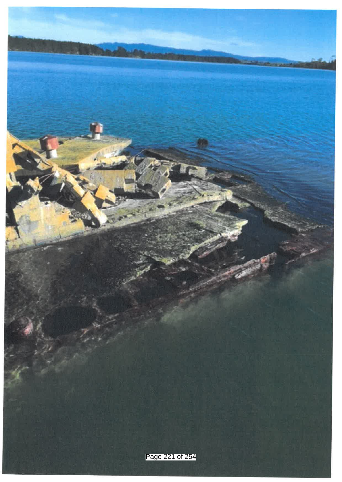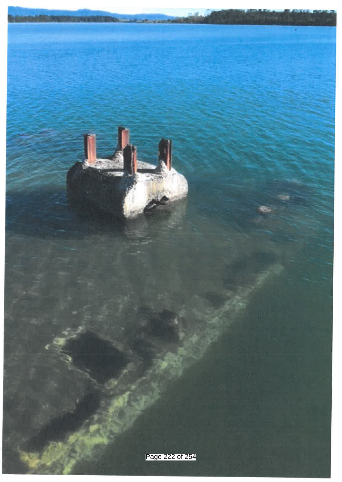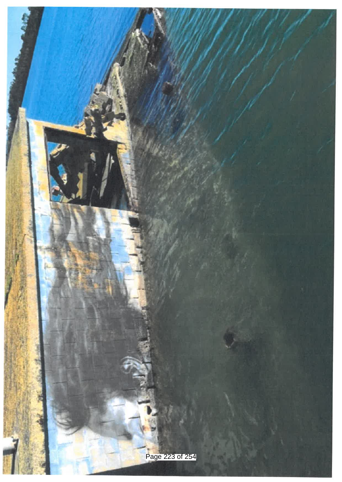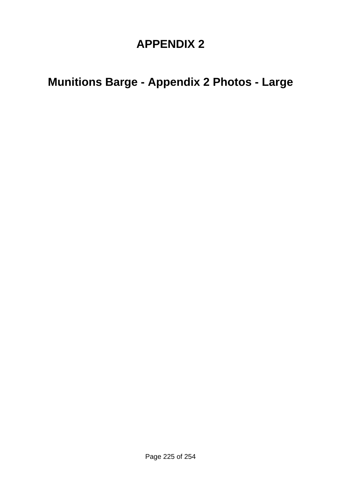## **APPENDIX 2**

# **Munitions Barge - Appendix 2 Photos - Large**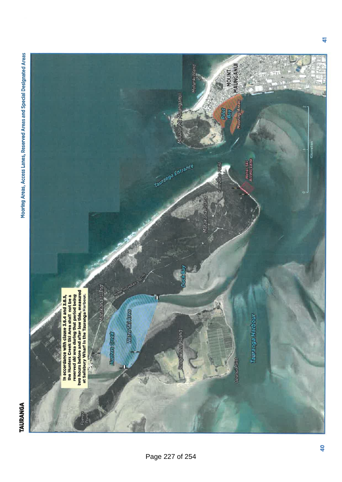

 $\overline{\overline{z}}$ 

 $\overline{\mathbf{q}}$